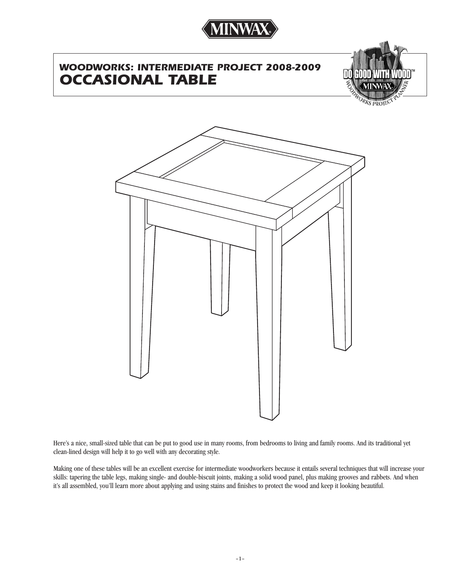

# *WOODWORKS: INTERMEDIATE PROJECT 2008-2009 OCCASIONAL TABLE*



**PRO** 



Here's a nice, small-sized table that can be put to good use in many rooms, from bedrooms to living and family rooms. And its traditional yet clean-lined design will help it to go well with any decorating style.

Making one of these tables will be an excellent exercise for intermediate woodworkers because it entails several techniques that will increase your skills: tapering the table legs, making single- and double-biscuit joints, making a solid wood panel, plus making grooves and rabbets. And when it's all assembled, you'll learn more about applying and using stains and finishes to protect the wood and keep it looking beautiful.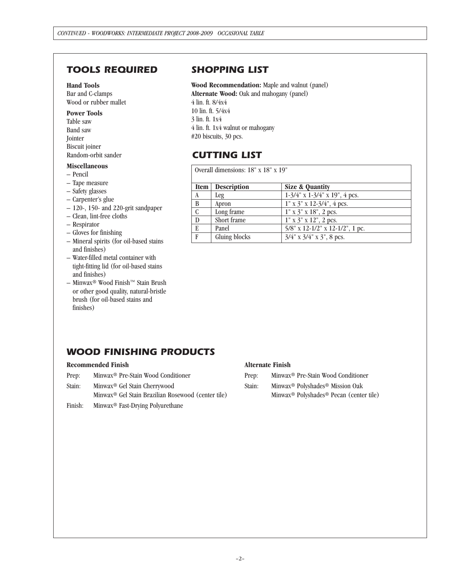## *TOOLS REQUIRED*

### **Hand Tools**

Bar and C-clamps Wood or rubber mallet

### **Power Tools**

Table saw Band saw Jointer Biscuit joiner Random-orbit sander

### **Miscellaneous**

- Pencil
- Tape measure
- Safety glasses
- Carpenter's glue
- 120-, 150- and 220-grit sandpaper
- Clean, lint-free cloths
- Respirator
- Gloves for finishing
- Mineral spirits (for oil-based stains and finishes)
- Water-filled metal container with tight-fitting lid (for oil-based stains and finishes)
- Minwax® Wood Finish™ Stain Brush or other good quality, natural-bristle brush (for oil-based stains and finishes)

### *SHOPPING LIST*

**Wood Recommendation:** Maple and walnut (panel) **Alternate Wood:** Oak and mahogany (panel) 4 lin. ft. 8/4x4 10 lin. ft. 5/4x4 3 lin. ft. 1x4 4 lin. ft. 1x4 walnut or mahogany #20 biscuits, 30 pcs.

## *CUTTING LIST*

| Overall dimensions: 18" x 18" x 19" |                    |                                        |
|-------------------------------------|--------------------|----------------------------------------|
| <b>Item</b>                         | <b>Description</b> | Size & Quantity                        |
| A                                   | Leg                | $1-3/4$ " x $1-3/4$ " x $19$ ", 4 pcs. |
| B                                   | Apron              | $1"$ x $3"$ x $12-3/4"$ , 4 pcs.       |
| C                                   | Long frame         | $1"$ x $3"$ x $18"$ , 2 pcs.           |
| D                                   | Short frame        | $1"$ x $3"$ x $12"$ , 2 pcs.           |
| E                                   | Panel              | $5/8$ " x 12-1/2" x 12-1/2", 1 pc.     |
| F                                   | Gluing blocks      | $3/4$ " x $3/4$ " x $3$ ", 8 pcs.      |

## *WOOD FINISHING PRODUCTS*

### **Recommended Finish**

- Prep: Minwax® Pre-Stain Wood Conditioner
- Stain: Minwax® Gel Stain Cherrywood

Minwax® Gel Stain Brazilian Rosewood (center tile)

Finish: Minwax® Fast-Drying Polyurethane

### **Alternate Finish**

- Prep: Minwax® Pre-Stain Wood Conditioner
- Stain: Minwax® Polyshades® Mission Oak
	- Minwax® Polyshades® Pecan (center tile)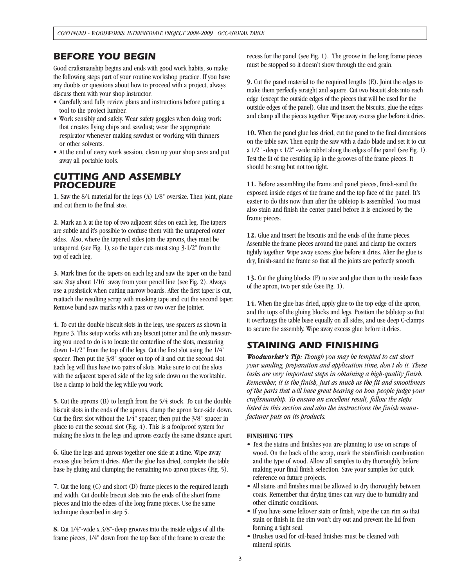### *BEFORE YOU BEGIN*

Good craftsmanship begins and ends with good work habits, so make the following steps part of your routine workshop practice. If you have any doubts or questions about how to proceed with a project, always discuss them with your shop instructor.

- Carefully and fully review plans and instructions before putting a tool to the project lumber.
- Work sensibly and safely. Wear safety goggles when doing work that creates flying chips and sawdust; wear the appropriate respirator whenever making sawdust or working with thinners or other solvents.
- At the end of every work session, clean up your shop area and put away all portable tools.

### *CUTTING AND ASSEMBLY PROCEDURE*

**1.** Saw the 8/4 material for the legs (A) 1/8" oversize. Then joint, plane and cut them to the final size.

**2.** Mark an X at the top of two adjacent sides on each leg. The tapers are subtle and it's possible to confuse them with the untapered outer sides. Also, where the tapered sides join the aprons, they must be untapered (see Fig. 1), so the taper cuts must stop 3-1/2" from the top of each leg.

**3.** Mark lines for the tapers on each leg and saw the taper on the band saw. Stay about 1/16" away from your pencil line (see Fig. 2). Always use a pushstick when cutting narrow boards. After the first taper is cut, reattach the resulting scrap with masking tape and cut the second taper. Remove band saw marks with a pass or two over the jointer.

**4.** To cut the double biscuit slots in the legs, use spacers as shown in Figure 3. This setup works with any biscuit joiner and the only measuring you need to do is to locate the centerline of the slots, measuring down 1-1/2" from the top of the legs. Cut the first slot using the 1/4" spacer. Then put the 3/8" spacer on top of it and cut the second slot. Each leg will thus have two pairs of slots. Make sure to cut the slots with the adjacent tapered side of the leg side down on the worktable. Use a clamp to hold the leg while you work.

**5.** Cut the aprons (B) to length from the 5/4 stock. To cut the double biscuit slots in the ends of the aprons, clamp the apron face-side down. Cut the first slot without the 1/4" spacer; then put the 3/8" spacer in place to cut the second slot (Fig. 4). This is a foolproof system for making the slots in the legs and aprons exactly the same distance apart.

**6.** Glue the legs and aprons together one side at a time. Wipe away excess glue before it dries. After the glue has dried, complete the table base by gluing and clamping the remaining two apron pieces (Fig. 5).

**7.** Cut the long (C) and short (D) frame pieces to the required length and width. Cut double biscuit slots into the ends of the short frame pieces and into the edges of the long frame pieces. Use the same technique described in step 5.

**8.** Cut 1/4"-wide x 3/8"-deep grooves into the inside edges of all the frame pieces, 1/4" down from the top face of the frame to create the recess for the panel (see Fig. 1). The groove in the long frame pieces must be stopped so it doesn't show through the end grain.

**9.** Cut the panel material to the required lengths (E). Joint the edges to make them perfectly straight and square. Cut two biscuit slots into each edge (except the outside edges of the pieces that will be used for the outside edges of the panel). Glue and insert the biscuits, glue the edges and clamp all the pieces together. Wipe away excess glue before it dries.

**10.** When the panel glue has dried, cut the panel to the final dimensions on the table saw. Then equip the saw with a dado blade and set it to cut a 1/2" -deep x 1/2" -wide rabbet along the edges of the panel (see Fig. 1). Test the fit of the resulting lip in the grooves of the frame pieces. It should be snug but not too tight.

**11.** Before assembling the frame and panel pieces, finish-sand the exposed inside edges of the frame and the top face of the panel. It's easier to do this now than after the tabletop is assembled. You must also stain and finish the center panel before it is enclosed by the frame pieces.

**12.** Glue and insert the biscuits and the ends of the frame pieces. Assemble the frame pieces around the panel and clamp the corners tightly together. Wipe away excess glue before it dries. After the glue is dry, finish-sand the frame so that all the joints are perfectly smooth.

**13.** Cut the gluing blocks (F) to size and glue them to the inside faces of the apron, two per side (see Fig. 1).

**14.** When the glue has dried, apply glue to the top edge of the apron, and the tops of the gluing blocks and legs. Position the tabletop so that it overhangs the table base equally on all sides, and use deep C-clamps to secure the assembly. Wipe away excess glue before it dries.

## *STAINING AND FINISHING*

*Woodworker's Tip: Though you may be tempted to cut short your sanding, preparation and application time, don't do it. These tasks are very important steps in obtaining a high-quality finish. Remember, it is the finish, just as much as the fit and smoothness of the parts that will have great bearing on how people judge your craftsmanship. To ensure an excellent result, follow the steps listed in this section and also the instructions the finish manufacturer puts on its products.*

### **FINISHING TIPS**

- Test the stains and finishes you are planning to use on scraps of wood. On the back of the scrap, mark the stain/finish combination and the type of wood. Allow all samples to dry thoroughly before making your final finish selection. Save your samples for quick reference on future projects.
- All stains and finishes must be allowed to dry thoroughly between coats. Remember that drying times can vary due to humidity and other climatic conditions.
- If you have some leftover stain or finish, wipe the can rim so that stain or finish in the rim won't dry out and prevent the lid from forming a tight seal.
- Brushes used for oil-based finishes must be cleaned with mineral spirits.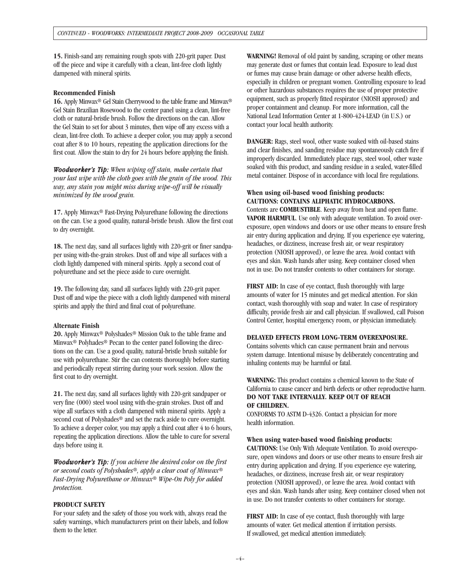**15.** Finish-sand any remaining rough spots with 220-grit paper. Dust off the piece and wipe it carefully with a clean, lint-free cloth lightly dampened with mineral spirits.

#### **Recommended Finish**

**16.** Apply Minwax® Gel Stain Cherrywood to the table frame and Minwax® Gel Stain Brazilian Rosewood to the center panel using a clean, lint-free cloth or natural-bristle brush. Follow the directions on the can. Allow the Gel Stain to set for about 3 minutes, then wipe off any excess with a clean, lint-free cloth. To achieve a deeper color, you may apply a second coat after 8 to 10 hours, repeating the application directions for the first coat. Allow the stain to dry for 24 hours before applying the finish.

*Woodworker's Tip: When wiping off stain, make certain that your last wipe with the cloth goes with the grain of the wood. This way, any stain you might miss during wipe-off will be visually minimized by the wood grain.*

**17.** Apply Minwax® Fast-Drying Polyurethane following the directions on the can. Use a good quality, natural-bristle brush. Allow the first coat to dry overnight.

**18.** The next day, sand all surfaces lightly with 220-grit or finer sandpaper using with-the-grain strokes. Dust off and wipe all surfaces with a cloth lightly dampened with mineral spirits. Apply a second coat of polyurethane and set the piece aside to cure overnight.

**19.** The following day, sand all surfaces lightly with 220-grit paper. Dust off and wipe the piece with a cloth lightly dampened with mineral spirits and apply the third and final coat of polyurethane.

#### **Alternate Finish**

**20.** Apply Minwax® Polyshades® Mission Oak to the table frame and Minwax® Polyhades® Pecan to the center panel following the directions on the can. Use a good quality, natural-bristle brush suitable for use with polyurethane. Stir the can contents thoroughly before starting and periodically repeat stirring during your work session. Allow the first coat to dry overnight.

**21.** The next day, sand all surfaces lightly with 220-grit sandpaper or very fine (000) steel wool using with-the-grain strokes. Dust off and wipe all surfaces with a cloth dampened with mineral spirits. Apply a second coat of Polyshades® and set the rack aside to cure overnight. To achieve a deeper color, you may apply a third coat after 4 to 6 hours, repeating the application directions. Allow the table to cure for several days before using it.

*Woodworker's Tip: If you achieve the desired color on the first or second coats of Polyshades®, apply a clear coat of Minwax® Fast-Drying Polyurethane or Minwax® Wipe-On Poly for added protection.*

### **PRODUCT SAFETY**

For your safety and the safety of those you work with, always read the safety warnings, which manufacturers print on their labels, and follow them to the letter.

**WARNING!** Removal of old paint by sanding, scraping or other means may generate dust or fumes that contain lead. Exposure to lead dust or fumes may cause brain damage or other adverse health effects, especially in children or pregnant women. Controlling exposure to lead or other hazardous substances requires the use of proper protective equipment, such as properly fitted respirator (NIOSH approved) and proper containment and cleanup. For more information, call the National Lead Information Center at 1-800-424-LEAD (in U.S.) or contact your local health authority.

**DANGER:** Rags, steel wool, other waste soaked with oil-based stains and clear finishes, and sanding residue may spontaneously catch fire if improperly discarded. Immediately place rags, steel wool, other waste soaked with this product, and sanding residue in a sealed, water-filled metal container. Dispose of in accordance with local fire regulations.

### **When using oil-based wood finishing products: CAUTIONS: CONTAINS ALIPHATIC HYDROCARBONS.**

Contents are **COMBUSTIBLE**. Keep away from heat and open flame. **VAPOR HARMFUL**. Use only with adequate ventilation. To avoid overexposure, open windows and doors or use other means to ensure fresh air entry during application and drying. If you experience eye watering, headaches, or dizziness, increase fresh air, or wear respiratory protection (NIOSH approved), or leave the area. Avoid contact with eyes and skin. Wash hands after using. Keep container closed when not in use. Do not transfer contents to other containers for storage.

**FIRST AID:** In case of eye contact, flush thoroughly with large amounts of water for 15 minutes and get medical attention. For skin contact, wash thoroughly with soap and water. In case of respiratory difficulty, provide fresh air and call physician. If swallowed, call Poison Control Center, hospital emergency room, or physician immediately.

#### **DELAYED EFFECTS FROM LONG-TERM OVEREXPOSURE.**

Contains solvents which can cause permanent brain and nervous system damage. Intentional misuse by deliberately concentrating and inhaling contents may be harmful or fatal.

**WARNING:** This product contains a chemical known to the State of California to cause cancer and birth defects or other reproductive harm. **DO NOT TAKE INTERNALLY. KEEP OUT OF REACH OF CHILDREN.**

CONFORMS TO ASTM D-4326. Contact a physician for more health information.

#### **When using water-based wood finishing products:**

**CAUTIONS:** Use Only With Adequate Ventilation. To avoid overexposure, open windows and doors or use other means to ensure fresh air entry during application and drying. If you experience eye watering, headaches, or dizziness, increase fresh air, or wear respiratory protection (NIOSH approved), or leave the area. Avoid contact with eyes and skin. Wash hands after using. Keep container closed when not in use. Do not transfer contents to other containers for storage.

**FIRST AID:** In case of eye contact, flush thoroughly with large amounts of water. Get medical attention if irritation persists. If swallowed, get medical attention immediately.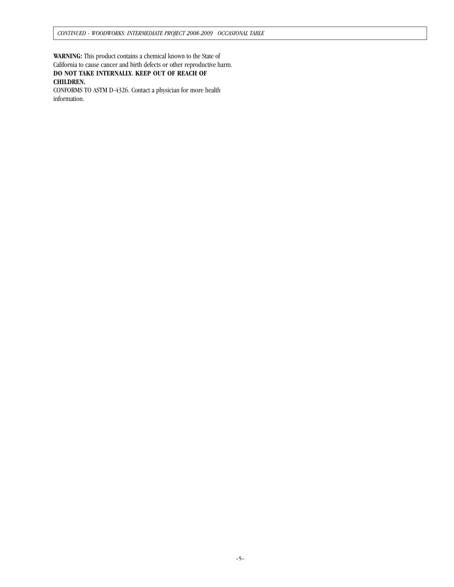**WARNING:** This product contains a chemical known to the State of California to cause cancer and birth defects or other reproductive harm. **DO NOT TAKE INTERNALLY. KEEP OUT OF REACH OF CHILDREN.** 

CONFORMS TO ASTM D-4326. Contact a physician for more health information.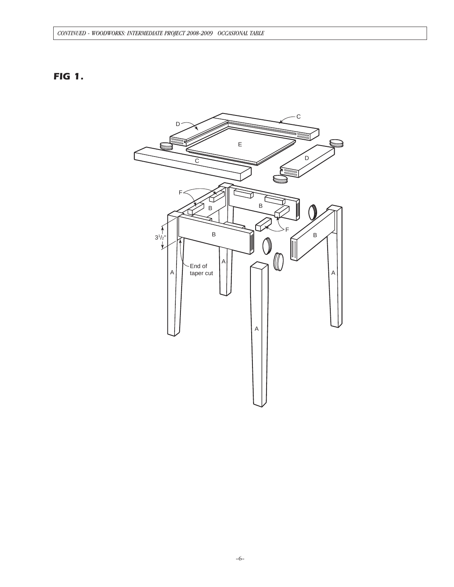## *FIG 1.*